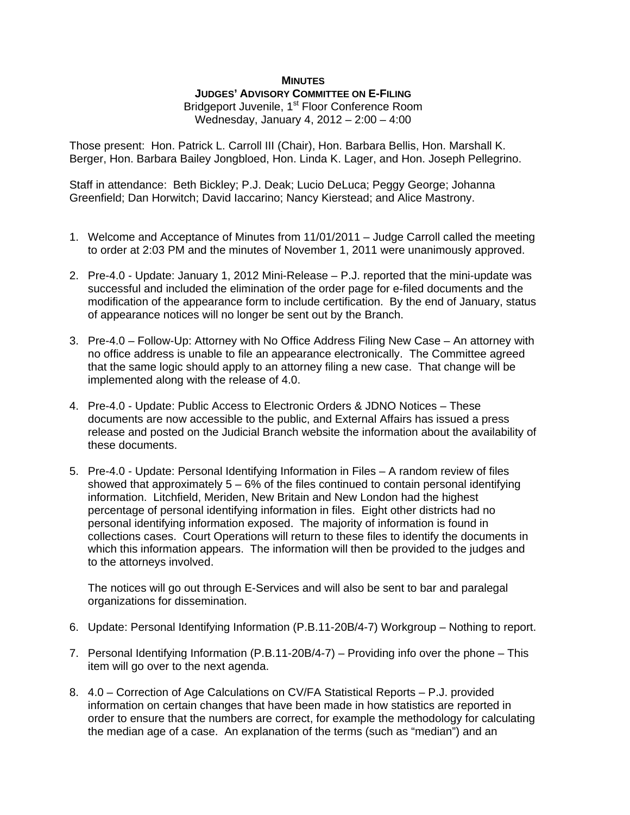## **MINUTES**

## **JUDGES' ADVISORY COMMITTEE ON E-FILING**

Bridgeport Juvenile, 1<sup>st</sup> Floor Conference Room Wednesday, January 4, 2012 – 2:00 – 4:00

Those present: Hon. Patrick L. Carroll III (Chair), Hon. Barbara Bellis, Hon. Marshall K. Berger, Hon. Barbara Bailey Jongbloed, Hon. Linda K. Lager, and Hon. Joseph Pellegrino.

Staff in attendance: Beth Bickley; P.J. Deak; Lucio DeLuca; Peggy George; Johanna Greenfield; Dan Horwitch; David Iaccarino; Nancy Kierstead; and Alice Mastrony.

- 1. Welcome and Acceptance of Minutes from 11/01/2011 Judge Carroll called the meeting to order at 2:03 PM and the minutes of November 1, 2011 were unanimously approved.
- 2. Pre-4.0 Update: January 1, 2012 Mini-Release P.J. reported that the mini-update was successful and included the elimination of the order page for e-filed documents and the modification of the appearance form to include certification. By the end of January, status of appearance notices will no longer be sent out by the Branch.
- 3. Pre-4.0 Follow-Up: Attorney with No Office Address Filing New Case An attorney with no office address is unable to file an appearance electronically. The Committee agreed that the same logic should apply to an attorney filing a new case. That change will be implemented along with the release of 4.0.
- 4. Pre-4.0 Update: Public Access to Electronic Orders & JDNO Notices These documents are now accessible to the public, and External Affairs has issued a press release and posted on the Judicial Branch website the information about the availability of these documents.
- 5. Pre-4.0 Update: Personal Identifying Information in Files A random review of files showed that approximately  $5 - 6\%$  of the files continued to contain personal identifying information. Litchfield, Meriden, New Britain and New London had the highest percentage of personal identifying information in files. Eight other districts had no personal identifying information exposed. The majority of information is found in collections cases. Court Operations will return to these files to identify the documents in which this information appears. The information will then be provided to the judges and to the attorneys involved.

The notices will go out through E-Services and will also be sent to bar and paralegal organizations for dissemination.

- 6. Update: Personal Identifying Information (P.B.11-20B/4-7) Workgroup Nothing to report.
- 7. Personal Identifying Information (P.B.11-20B/4-7) Providing info over the phone This item will go over to the next agenda.
- 8. 4.0 Correction of Age Calculations on CV/FA Statistical Reports P.J. provided information on certain changes that have been made in how statistics are reported in order to ensure that the numbers are correct, for example the methodology for calculating the median age of a case. An explanation of the terms (such as "median") and an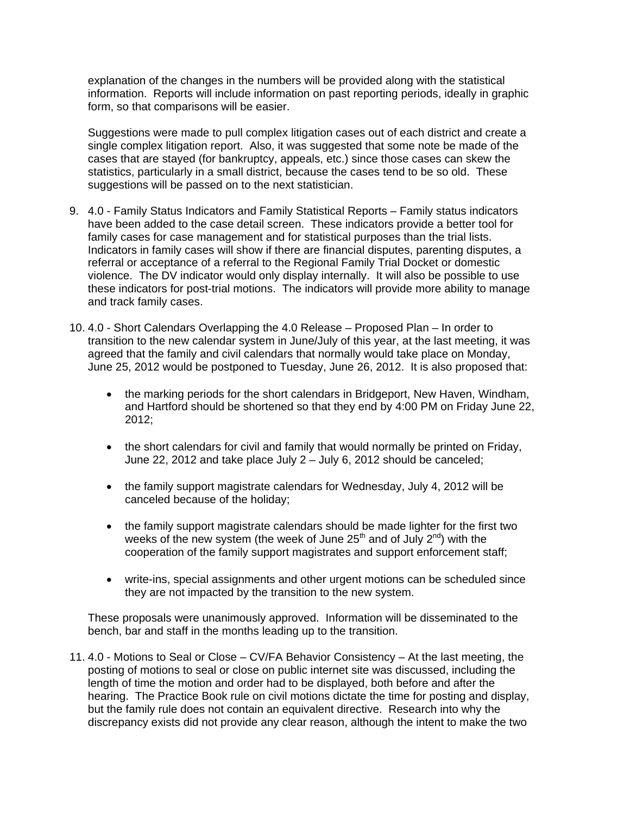explanation of the changes in the numbers will be provided along with the statistical information. Reports will include information on past reporting periods, ideally in graphic form, so that comparisons will be easier.

Suggestions were made to pull complex litigation cases out of each district and create a single complex litigation report. Also, it was suggested that some note be made of the cases that are stayed (for bankruptcy, appeals, etc.) since those cases can skew the statistics, particularly in a small district, because the cases tend to be so old. These suggestions will be passed on to the next statistician.

- 9. 4.0 Family Status Indicators and Family Statistical Reports Family status indicators have been added to the case detail screen. These indicators provide a better tool for family cases for case management and for statistical purposes than the trial lists. Indicators in family cases will show if there are financial disputes, parenting disputes, a referral or acceptance of a referral to the Regional Family Trial Docket or domestic violence. The DV indicator would only display internally. It will also be possible to use these indicators for post-trial motions. The indicators will provide more ability to manage and track family cases.
- 10. 4.0 Short Calendars Overlapping the 4.0 Release Proposed Plan In order to transition to the new calendar system in June/July of this year, at the last meeting, it was agreed that the family and civil calendars that normally would take place on Monday, June 25, 2012 would be postponed to Tuesday, June 26, 2012. It is also proposed that:
	- the marking periods for the short calendars in Bridgeport, New Haven, Windham, and Hartford should be shortened so that they end by 4:00 PM on Friday June 22, 2012;
	- the short calendars for civil and family that would normally be printed on Friday, June 22, 2012 and take place July 2 – July 6, 2012 should be canceled;
	- the family support magistrate calendars for Wednesday, July 4, 2012 will be canceled because of the holiday;
	- the family support magistrate calendars should be made lighter for the first two weeks of the new system (the week of June  $25<sup>th</sup>$  and of July  $2<sup>nd</sup>$ ) with the cooperation of the family support magistrates and support enforcement staff;
	- write-ins, special assignments and other urgent motions can be scheduled since they are not impacted by the transition to the new system.

These proposals were unanimously approved. Information will be disseminated to the bench, bar and staff in the months leading up to the transition.

11. 4.0 - Motions to Seal or Close – CV/FA Behavior Consistency – At the last meeting, the posting of motions to seal or close on public internet site was discussed, including the length of time the motion and order had to be displayed, both before and after the hearing. The Practice Book rule on civil motions dictate the time for posting and display, but the family rule does not contain an equivalent directive. Research into why the discrepancy exists did not provide any clear reason, although the intent to make the two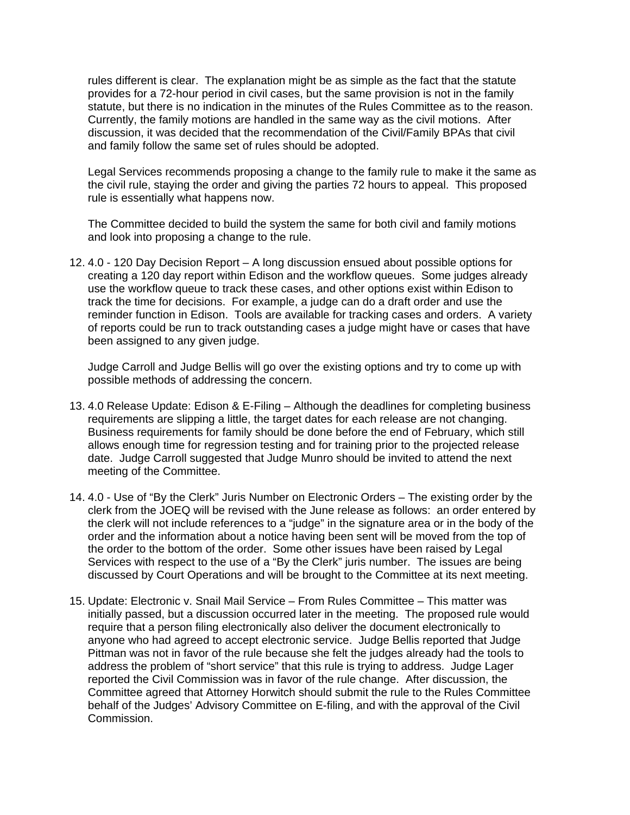rules different is clear. The explanation might be as simple as the fact that the statute provides for a 72-hour period in civil cases, but the same provision is not in the family statute, but there is no indication in the minutes of the Rules Committee as to the reason. Currently, the family motions are handled in the same way as the civil motions. After discussion, it was decided that the recommendation of the Civil/Family BPAs that civil and family follow the same set of rules should be adopted.

Legal Services recommends proposing a change to the family rule to make it the same as the civil rule, staying the order and giving the parties 72 hours to appeal. This proposed rule is essentially what happens now.

The Committee decided to build the system the same for both civil and family motions and look into proposing a change to the rule.

12. 4.0 - 120 Day Decision Report – A long discussion ensued about possible options for creating a 120 day report within Edison and the workflow queues. Some judges already use the workflow queue to track these cases, and other options exist within Edison to track the time for decisions. For example, a judge can do a draft order and use the reminder function in Edison. Tools are available for tracking cases and orders. A variety of reports could be run to track outstanding cases a judge might have or cases that have been assigned to any given judge.

Judge Carroll and Judge Bellis will go over the existing options and try to come up with possible methods of addressing the concern.

- 13. 4.0 Release Update: Edison & E-Filing Although the deadlines for completing business requirements are slipping a little, the target dates for each release are not changing. Business requirements for family should be done before the end of February, which still allows enough time for regression testing and for training prior to the projected release date. Judge Carroll suggested that Judge Munro should be invited to attend the next meeting of the Committee.
- 14. 4.0 Use of "By the Clerk" Juris Number on Electronic Orders The existing order by the clerk from the JOEQ will be revised with the June release as follows: an order entered by the clerk will not include references to a "judge" in the signature area or in the body of the order and the information about a notice having been sent will be moved from the top of the order to the bottom of the order. Some other issues have been raised by Legal Services with respect to the use of a "By the Clerk" juris number. The issues are being discussed by Court Operations and will be brought to the Committee at its next meeting.
- 15. Update: Electronic v. Snail Mail Service From Rules Committee This matter was initially passed, but a discussion occurred later in the meeting. The proposed rule would require that a person filing electronically also deliver the document electronically to anyone who had agreed to accept electronic service. Judge Bellis reported that Judge Pittman was not in favor of the rule because she felt the judges already had the tools to address the problem of "short service" that this rule is trying to address. Judge Lager reported the Civil Commission was in favor of the rule change. After discussion, the Committee agreed that Attorney Horwitch should submit the rule to the Rules Committee behalf of the Judges' Advisory Committee on E-filing, and with the approval of the Civil Commission.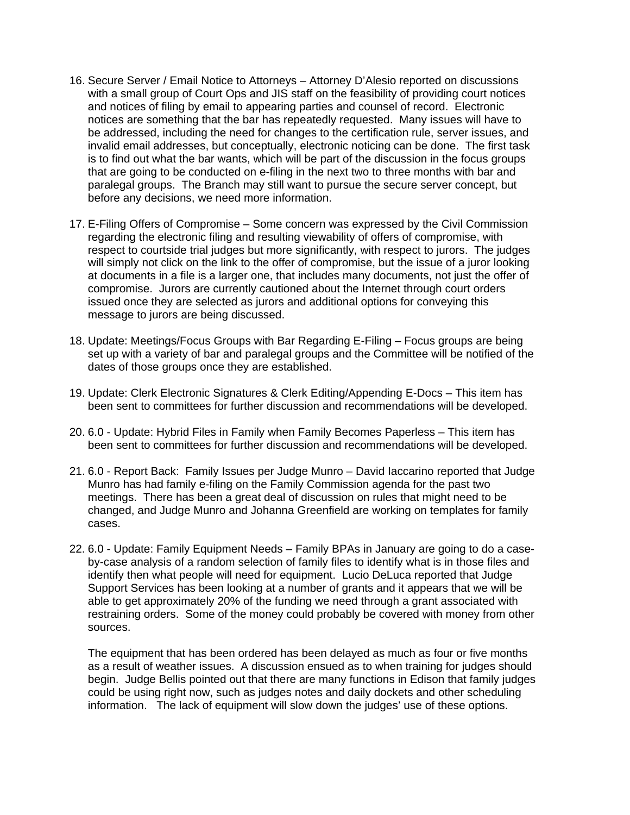- 16. Secure Server / Email Notice to Attorneys Attorney D'Alesio reported on discussions with a small group of Court Ops and JIS staff on the feasibility of providing court notices and notices of filing by email to appearing parties and counsel of record. Electronic notices are something that the bar has repeatedly requested. Many issues will have to be addressed, including the need for changes to the certification rule, server issues, and invalid email addresses, but conceptually, electronic noticing can be done. The first task is to find out what the bar wants, which will be part of the discussion in the focus groups that are going to be conducted on e-filing in the next two to three months with bar and paralegal groups. The Branch may still want to pursue the secure server concept, but before any decisions, we need more information.
- 17. E-Filing Offers of Compromise Some concern was expressed by the Civil Commission regarding the electronic filing and resulting viewability of offers of compromise, with respect to courtside trial judges but more significantly, with respect to jurors. The judges will simply not click on the link to the offer of compromise, but the issue of a juror looking at documents in a file is a larger one, that includes many documents, not just the offer of compromise. Jurors are currently cautioned about the Internet through court orders issued once they are selected as jurors and additional options for conveying this message to jurors are being discussed.
- 18. Update: Meetings/Focus Groups with Bar Regarding E-Filing Focus groups are being set up with a variety of bar and paralegal groups and the Committee will be notified of the dates of those groups once they are established.
- 19. Update: Clerk Electronic Signatures & Clerk Editing/Appending E-Docs This item has been sent to committees for further discussion and recommendations will be developed.
- 20. 6.0 Update: Hybrid Files in Family when Family Becomes Paperless This item has been sent to committees for further discussion and recommendations will be developed.
- 21. 6.0 Report Back: Family Issues per Judge Munro David Iaccarino reported that Judge Munro has had family e-filing on the Family Commission agenda for the past two meetings. There has been a great deal of discussion on rules that might need to be changed, and Judge Munro and Johanna Greenfield are working on templates for family cases.
- 22. 6.0 Update: Family Equipment Needs Family BPAs in January are going to do a caseby-case analysis of a random selection of family files to identify what is in those files and identify then what people will need for equipment. Lucio DeLuca reported that Judge Support Services has been looking at a number of grants and it appears that we will be able to get approximately 20% of the funding we need through a grant associated with restraining orders. Some of the money could probably be covered with money from other sources.

The equipment that has been ordered has been delayed as much as four or five months as a result of weather issues. A discussion ensued as to when training for judges should begin. Judge Bellis pointed out that there are many functions in Edison that family judges could be using right now, such as judges notes and daily dockets and other scheduling information. The lack of equipment will slow down the judges' use of these options.